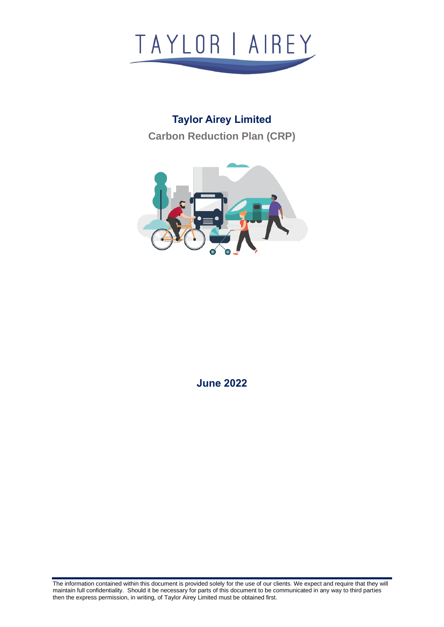

# **Taylor Airey Limited Carbon Reduction Plan (CRP)**



**June 2022**

The information contained within this document is provided solely for the use of our clients. We expect and require that they will maintain full confidentiality. Should it be necessary for parts of this document to be communicated in any way to third parties then the express permission, in writing, of Taylor Airey Limited must be obtained first.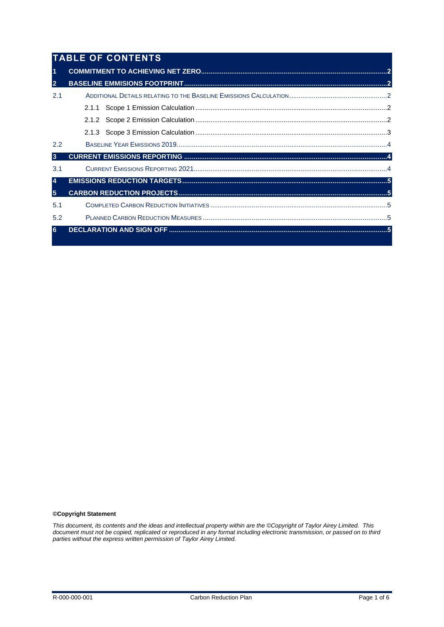|                | <b>TABLE OF CONTENTS</b> |  |  |  |
|----------------|--------------------------|--|--|--|
| $\overline{1}$ |                          |  |  |  |
| $\overline{2}$ |                          |  |  |  |
| 2.1            |                          |  |  |  |
|                |                          |  |  |  |
|                |                          |  |  |  |
|                |                          |  |  |  |
| 2.2            |                          |  |  |  |
| $\overline{3}$ |                          |  |  |  |
| 3.1            |                          |  |  |  |
| $\overline{4}$ |                          |  |  |  |
| 5 <sup>1</sup> |                          |  |  |  |
| 5.1            |                          |  |  |  |
| 5.2            |                          |  |  |  |
| 6              |                          |  |  |  |

#### **©Copyright Statement**

*This document, its contents and the ideas and intellectual property within are the ©Copyright of Taylor Airey Limited. This document must not be copied, replicated or reproduced in any format including electronic transmission, or passed on to third parties without the express written permission of Taylor Airey Limited.*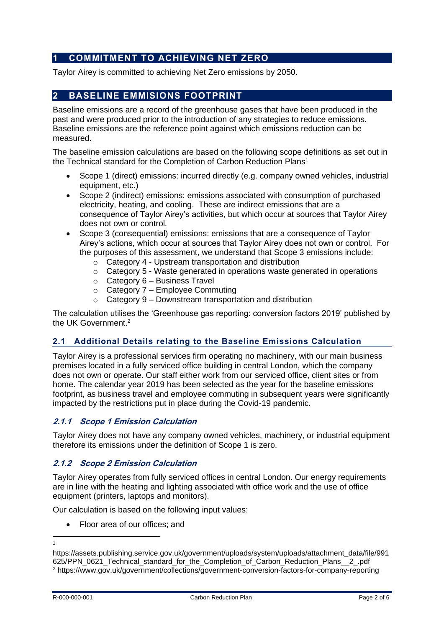# <span id="page-2-0"></span>**1 COMMITMENT TO ACHIEVING NET ZERO**

<span id="page-2-1"></span>Taylor Airey is committed to achieving Net Zero emissions by 2050.

# **2 BASELINE EMMISIONS FOOTPRINT**

Baseline emissions are a record of the greenhouse gases that have been produced in the past and were produced prior to the introduction of any strategies to reduce emissions. Baseline emissions are the reference point against which emissions reduction can be measured.

The baseline emission calculations are based on the following scope definitions as set out in the Technical standard for the Completion of Carbon Reduction Plans<sup>1</sup>

- Scope 1 (direct) emissions: incurred directly (e.g. company owned vehicles, industrial equipment, etc.)
- Scope 2 (indirect) emissions: emissions associated with consumption of purchased electricity, heating, and cooling. These are indirect emissions that are a consequence of Taylor Airey's activities, but which occur at sources that Taylor Airey does not own or control.
- Scope 3 (consequential) emissions: emissions that are a consequence of Taylor Airey's actions, which occur at sources that Taylor Airey does not own or control. For the purposes of this assessment, we understand that Scope 3 emissions include:
	- o Category 4 Upstream transportation and distribution
	- $\circ$  Category 5 Waste generated in operations waste generated in operations
	- $\circ$  Category 6 Business Travel
	- $\circ$  Category 7 Employee Commuting
	- $\circ$  Category 9 Downstream transportation and distribution

The calculation utilises the 'Greenhouse gas reporting: conversion factors 2019' published by the UK Government. 2

# <span id="page-2-2"></span>**2.1 Additional Details relating to the Baseline Emissions Calculation**

Taylor Airey is a professional services firm operating no machinery, with our main business premises located in a fully serviced office building in central London, which the company does not own or operate. Our staff either work from our serviced office, client sites or from home. The calendar year 2019 has been selected as the year for the baseline emissions footprint, as business travel and employee commuting in subsequent years were significantly impacted by the restrictions put in place during the Covid-19 pandemic.

# <span id="page-2-3"></span>**2.1.1 Scope 1 Emission Calculation**

Taylor Airey does not have any company owned vehicles, machinery, or industrial equipment therefore its emissions under the definition of Scope 1 is zero.

#### <span id="page-2-4"></span>**2.1.2 Scope 2 Emission Calculation**

Taylor Airey operates from fully serviced offices in central London. Our energy requirements are in line with the heating and lighting associated with office work and the use of office equipment (printers, laptops and monitors).

Our calculation is based on the following input values:

• Floor area of our offices; and

1

https://assets.publishing.service.gov.uk/government/uploads/system/uploads/attachment\_data/file/991 625/PPN\_0621\_Technical\_standard\_for\_the\_Completion\_of\_Carbon\_Reduction\_Plans\_\_2\_.pdf <sup>2</sup> https://www.gov.uk/government/collections/government-conversion-factors-for-company-reporting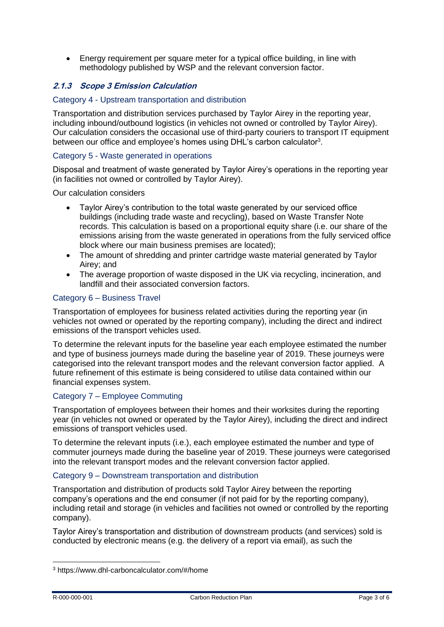• Energy requirement per square meter for a typical office building, in line with methodology published by WSP and the relevant conversion factor.

# <span id="page-3-0"></span>**2.1.3 Scope 3 Emission Calculation**

## Category 4 - Upstream transportation and distribution

Transportation and distribution services purchased by Taylor Airey in the reporting year, including inbound/outbound logistics (in vehicles not owned or controlled by Taylor Airey). Our calculation considers the occasional use of third-party couriers to transport IT equipment between our office and employee's homes using DHL's carbon calculator<sup>3</sup>.

## Category 5 - Waste generated in operations

Disposal and treatment of waste generated by Taylor Airey's operations in the reporting year (in facilities not owned or controlled by Taylor Airey).

Our calculation considers

- Taylor Airey's contribution to the total waste generated by our serviced office buildings (including trade waste and recycling), based on Waste Transfer Note records. This calculation is based on a proportional equity share (i.e. our share of the emissions arising from the waste generated in operations from the fully serviced office block where our main business premises are located);
- The amount of shredding and printer cartridge waste material generated by Taylor Airey; and
- The average proportion of waste disposed in the UK via recycling, incineration, and landfill and their associated conversion factors.

## Category 6 – Business Travel

Transportation of employees for business related activities during the reporting year (in vehicles not owned or operated by the reporting company), including the direct and indirect emissions of the transport vehicles used.

To determine the relevant inputs for the baseline year each employee estimated the number and type of business journeys made during the baseline year of 2019. These journeys were categorised into the relevant transport modes and the relevant conversion factor applied. A future refinement of this estimate is being considered to utilise data contained within our financial expenses system.

#### Category 7 – Employee Commuting

Transportation of employees between their homes and their worksites during the reporting year (in vehicles not owned or operated by the Taylor Airey), including the direct and indirect emissions of transport vehicles used.

To determine the relevant inputs (i.e.), each employee estimated the number and type of commuter journeys made during the baseline year of 2019. These journeys were categorised into the relevant transport modes and the relevant conversion factor applied.

#### Category 9 – Downstream transportation and distribution

Transportation and distribution of products sold Taylor Airey between the reporting company's operations and the end consumer (if not paid for by the reporting company), including retail and storage (in vehicles and facilities not owned or controlled by the reporting company).

Taylor Airey's transportation and distribution of downstream products (and services) sold is conducted by electronic means (e.g. the delivery of a report via email), as such the

<sup>3</sup> https://www.dhl-carboncalculator.com/#/home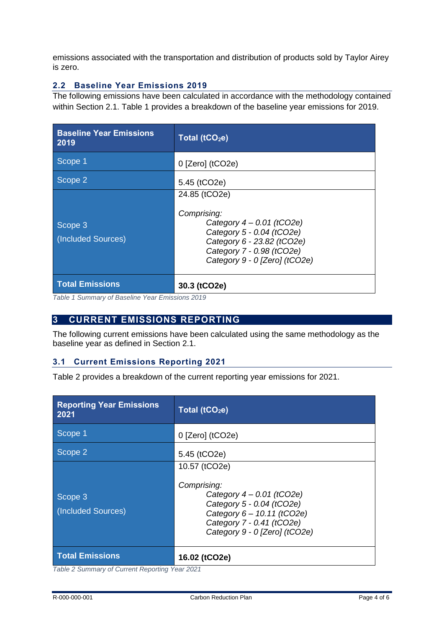emissions associated with the transportation and distribution of products sold by Taylor Airey is zero.

# <span id="page-4-0"></span>**2.2 Baseline Year Emissions 2019**

The following emissions have been calculated in accordance with the methodology contained within Section [2.1.](#page-2-2) [Table 1](#page-4-3) provides a breakdown of the baseline year emissions for 2019.

| <b>Baseline Year Emissions</b><br>2019 | Total (tCO <sub>2</sub> e)                                                                                                                                                           |
|----------------------------------------|--------------------------------------------------------------------------------------------------------------------------------------------------------------------------------------|
| Scope 1                                | $0$ [Zero] (tCO2e)                                                                                                                                                                   |
| Scope 2                                | 5.45 (tCO2e)                                                                                                                                                                         |
| Scope 3<br>(Included Sources)          | 24.85 (tCO2e)<br>Comprising:<br>Category $4 - 0.01$ (tCO2e)<br>Category 5 - 0.04 (tCO2e)<br>Category 6 - 23.82 (tCO2e)<br>Category 7 - 0.98 (tCO2e)<br>Category 9 - 0 [Zero] (tCO2e) |
| <b>Total Emissions</b>                 | 30.3 (tCO2e)                                                                                                                                                                         |

<span id="page-4-3"></span>*Table 1 Summary of Baseline Year Emissions 2019*

# <span id="page-4-1"></span>**3 CURRENT EMISSIONS REPORTING**

The following current emissions have been calculated using the same methodology as the baseline year as defined in Section [2.1.](#page-2-2)

# <span id="page-4-2"></span>**3.1 Current Emissions Reporting 2021**

[Table 2](#page-4-4) provides a breakdown of the current reporting year emissions for 2021.

| <b>Reporting Year Emissions</b><br>2021 | Total ( $tCO2e$ )                                                                                                                                                                    |
|-----------------------------------------|--------------------------------------------------------------------------------------------------------------------------------------------------------------------------------------|
| Scope 1                                 | $0$ [Zero] (tCO2e)                                                                                                                                                                   |
| Scope 2                                 | 5.45 (tCO2e)                                                                                                                                                                         |
| Scope 3<br>(Included Sources)           | 10.57 (tCO2e)<br>Comprising:<br>Category $4 - 0.01$ (tCO2e)<br>Category 5 - 0.04 (tCO2e)<br>Category 6 - 10.11 (tCO2e)<br>Category 7 - 0.41 (tCO2e)<br>Category 9 - 0 [Zero] (tCO2e) |
| <b>Total Emissions</b>                  | 16.02 (tCO2e)                                                                                                                                                                        |

<span id="page-4-4"></span>*Table 2 Summary of Current Reporting Year 2021*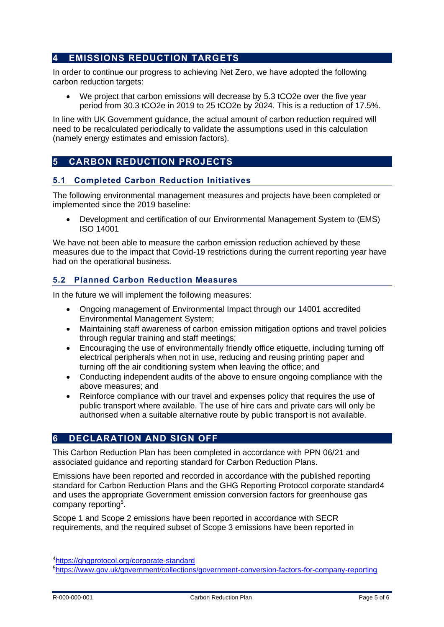# <span id="page-5-0"></span>**4 EMISSIONS REDUCTION TARGETS**

In order to continue our progress to achieving Net Zero, we have adopted the following carbon reduction targets:

• We project that carbon emissions will decrease by 5.3 tCO2e over the five year period from 30.3 tCO2e in 2019 to 25 tCO2e by 2024. This is a reduction of 17.5%.

In line with UK Government guidance, the actual amount of carbon reduction required will need to be recalculated periodically to validate the assumptions used in this calculation (namely energy estimates and emission factors).

# <span id="page-5-1"></span>**5 CARBON REDUCTION PROJECTS**

# <span id="page-5-2"></span>**5.1 Completed Carbon Reduction Initiatives**

The following environmental management measures and projects have been completed or implemented since the 2019 baseline:

• Development and certification of our Environmental Management System to (EMS) ISO 14001

We have not been able to measure the carbon emission reduction achieved by these measures due to the impact that Covid-19 restrictions during the current reporting year have had on the operational business.

# <span id="page-5-3"></span>**5.2 Planned Carbon Reduction Measures**

In the future we will implement the following measures:

- Ongoing management of Environmental Impact through our 14001 accredited Environmental Management System;
- Maintaining staff awareness of carbon emission mitigation options and travel policies through regular training and staff meetings;
- Encouraging the use of environmentally friendly office etiquette, including turning off electrical peripherals when not in use, reducing and reusing printing paper and turning off the air conditioning system when leaving the office; and
- Conducting independent audits of the above to ensure ongoing compliance with the above measures; and
- Reinforce compliance with our travel and expenses policy that requires the use of public transport where available. The use of hire cars and private cars will only be authorised when a suitable alternative route by public transport is not available.

# <span id="page-5-4"></span>**6 DECLARATION AND SIGN OFF**

This Carbon Reduction Plan has been completed in accordance with PPN 06/21 and associated guidance and reporting standard for Carbon Reduction Plans.

Emissions have been reported and recorded in accordance with the published reporting standard for Carbon Reduction Plans and the GHG Reporting Protocol corporate standard4 and uses the appropriate [Government emission conversion factors for greenhouse gas](https://www.gov.uk/government/collections/government-conversion-factors-for-company-reporting)  [company reporting](https://www.gov.uk/government/collections/government-conversion-factors-for-company-reporting)<sup>5</sup>.

Scope 1 and Scope 2 emissions have been reported in accordance with SECR requirements, and the required subset of Scope 3 emissions have been reported in

<sup>4</sup><https://ghgprotocol.org/corporate-standard>

<sup>5</sup><https://www.gov.uk/government/collections/government-conversion-factors-for-company-reporting>